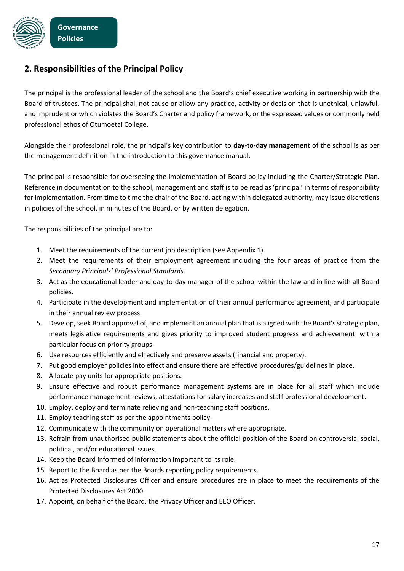

## **2. Responsibilities of the Principal Policy**

The principal is the professional leader of the school and the Board's chief executive working in partnership with the Board of trustees. The principal shall not cause or allow any practice, activity or decision that is unethical, unlawful, and imprudent or which violates the Board's Charter and policy framework, or the expressed values or commonly held professional ethos of Otumoetai College.

Alongside their professional role, the principal's key contribution to **day-to-day management** of the school is as per the management definition in the introduction to this governance manual.

The principal is responsible for overseeing the implementation of Board policy including the Charter/Strategic Plan. Reference in documentation to the school, management and staff is to be read as 'principal' in terms of responsibility for implementation. From time to time the chair of the Board, acting within delegated authority, may issue discretions in policies of the school, in minutes of the Board, or by written delegation.

The responsibilities of the principal are to:

- 1. Meet the requirements of the current job description (see Appendix 1).
- 2. Meet the requirements of their employment agreement including the four areas of practice from the *Secondary Principals' Professional Standards*.
- 3. Act as the educational leader and day-to-day manager of the school within the law and in line with all Board policies.
- 4. Participate in the development and implementation of their annual performance agreement, and participate in their annual review process.
- 5. Develop, seek Board approval of, and implement an annual plan that is aligned with the Board's strategic plan, meets legislative requirements and gives priority to improved student progress and achievement, with a particular focus on priority groups.
- 6. Use resources efficiently and effectively and preserve assets (financial and property).
- 7. Put good employer policies into effect and ensure there are effective procedures/guidelines in place.
- 8. Allocate pay units for appropriate positions.
- 9. Ensure effective and robust performance management systems are in place for all staff which include performance management reviews, attestations for salary increases and staff professional development.
- 10. Employ, deploy and terminate relieving and non-teaching staff positions.
- 11. Employ teaching staff as per the appointments policy.
- 12. Communicate with the community on operational matters where appropriate.
- 13. Refrain from unauthorised public statements about the official position of the Board on controversial social, political, and/or educational issues.
- 14. Keep the Board informed of information important to its role.
- 15. Report to the Board as per the Boards reporting policy requirements.
- 16. Act as Protected Disclosures Officer and ensure procedures are in place to meet the requirements of the Protected Disclosures Act 2000.
- 17. Appoint, on behalf of the Board, the Privacy Officer and EEO Officer.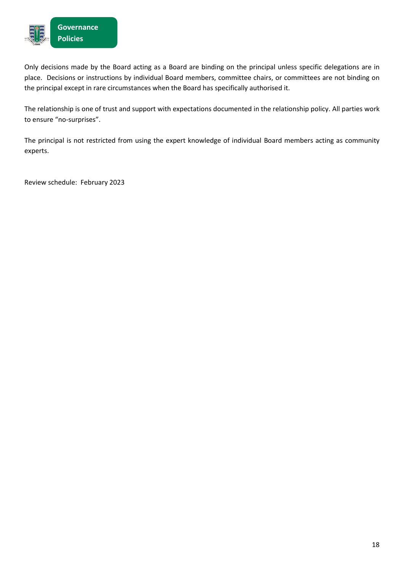

Only decisions made by the Board acting as a Board are binding on the principal unless specific delegations are in place. Decisions or instructions by individual Board members, committee chairs, or committees are not binding on the principal except in rare circumstances when the Board has specifically authorised it.

The relationship is one of trust and support with expectations documented in the relationship policy. All parties work to ensure "no-surprises".

The principal is not restricted from using the expert knowledge of individual Board members acting as community experts.

Review schedule: February 2023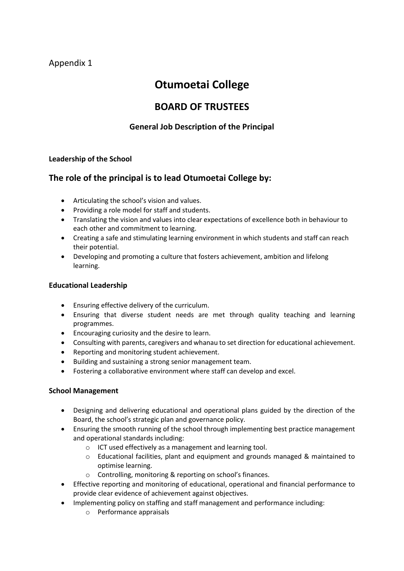## Appendix 1

# **Otumoetai College**

## **BOARD OF TRUSTEES**

## **General Job Description of the Principal**

### **Leadership of the School**

## **The role of the principal is to lead Otumoetai College by:**

- Articulating the school's vision and values.
- Providing a role model for staff and students.
- Translating the vision and values into clear expectations of excellence both in behaviour to each other and commitment to learning.
- Creating a safe and stimulating learning environment in which students and staff can reach their potential.
- Developing and promoting a culture that fosters achievement, ambition and lifelong learning.

#### **Educational Leadership**

- Ensuring effective delivery of the curriculum.
- Ensuring that diverse student needs are met through quality teaching and learning programmes.
- Encouraging curiosity and the desire to learn.
- Consulting with parents, caregivers and whanau to set direction for educational achievement.
- Reporting and monitoring student achievement.
- Building and sustaining a strong senior management team.
- Fostering a collaborative environment where staff can develop and excel.

### **School Management**

- Designing and delivering educational and operational plans guided by the direction of the Board, the school's strategic plan and governance policy.
- Ensuring the smooth running of the school through implementing best practice management and operational standards including:
	- o ICT used effectively as a management and learning tool.
	- o Educational facilities, plant and equipment and grounds managed & maintained to optimise learning.
	- o Controlling, monitoring & reporting on school's finances.
- Effective reporting and monitoring of educational, operational and financial performance to provide clear evidence of achievement against objectives.
- Implementing policy on staffing and staff management and performance including:
	- o Performance appraisals